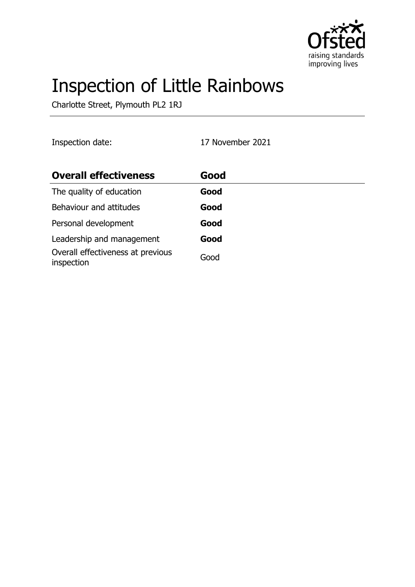

# Inspection of Little Rainbows

Charlotte Street, Plymouth PL2 1RJ

Inspection date: 17 November 2021

| <b>Overall effectiveness</b>                    | Good |
|-------------------------------------------------|------|
| The quality of education                        | Good |
| Behaviour and attitudes                         | Good |
| Personal development                            | Good |
| Leadership and management                       | Good |
| Overall effectiveness at previous<br>inspection | Good |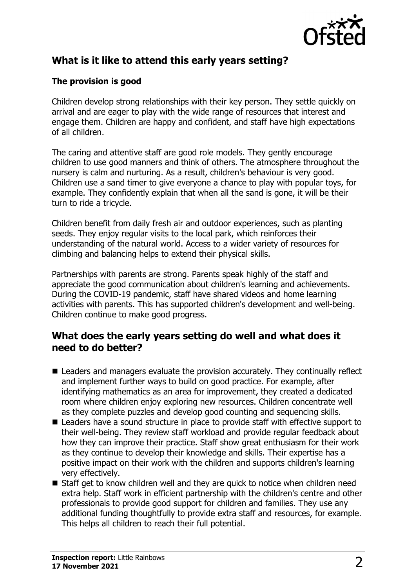

# **What is it like to attend this early years setting?**

#### **The provision is good**

Children develop strong relationships with their key person. They settle quickly on arrival and are eager to play with the wide range of resources that interest and engage them. Children are happy and confident, and staff have high expectations of all children.

The caring and attentive staff are good role models. They gently encourage children to use good manners and think of others. The atmosphere throughout the nursery is calm and nurturing. As a result, children's behaviour is very good. Children use a sand timer to give everyone a chance to play with popular toys, for example. They confidently explain that when all the sand is gone, it will be their turn to ride a tricycle.

Children benefit from daily fresh air and outdoor experiences, such as planting seeds. They enjoy regular visits to the local park, which reinforces their understanding of the natural world. Access to a wider variety of resources for climbing and balancing helps to extend their physical skills.

Partnerships with parents are strong. Parents speak highly of the staff and appreciate the good communication about children's learning and achievements. During the COVID-19 pandemic, staff have shared videos and home learning activities with parents. This has supported children's development and well-being. Children continue to make good progress.

#### **What does the early years setting do well and what does it need to do better?**

- $\blacksquare$  Leaders and managers evaluate the provision accurately. They continually reflect and implement further ways to build on good practice. For example, after identifying mathematics as an area for improvement, they created a dedicated room where children enjoy exploring new resources. Children concentrate well as they complete puzzles and develop good counting and sequencing skills.
- $\blacksquare$  Leaders have a sound structure in place to provide staff with effective support to their well-being. They review staff workload and provide regular feedback about how they can improve their practice. Staff show great enthusiasm for their work as they continue to develop their knowledge and skills. Their expertise has a positive impact on their work with the children and supports children's learning very effectively.
- $\blacksquare$  Staff get to know children well and they are quick to notice when children need extra help. Staff work in efficient partnership with the children's centre and other professionals to provide good support for children and families. They use any additional funding thoughtfully to provide extra staff and resources, for example. This helps all children to reach their full potential.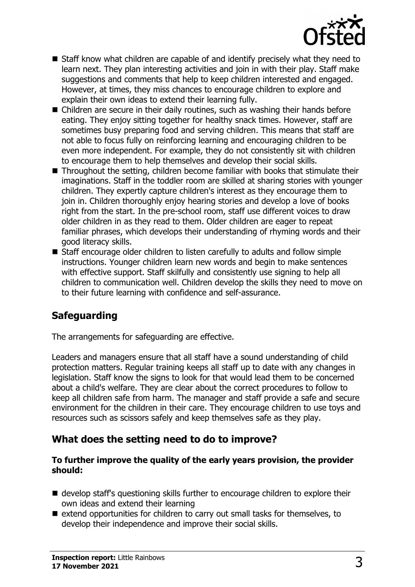

- $\blacksquare$  Staff know what children are capable of and identify precisely what they need to learn next. They plan interesting activities and join in with their play. Staff make suggestions and comments that help to keep children interested and engaged. However, at times, they miss chances to encourage children to explore and explain their own ideas to extend their learning fully.
- $\blacksquare$  Children are secure in their daily routines, such as washing their hands before eating. They enjoy sitting together for healthy snack times. However, staff are sometimes busy preparing food and serving children. This means that staff are not able to focus fully on reinforcing learning and encouraging children to be even more independent. For example, they do not consistently sit with children to encourage them to help themselves and develop their social skills.
- $\blacksquare$  Throughout the setting, children become familiar with books that stimulate their imaginations. Staff in the toddler room are skilled at sharing stories with younger children. They expertly capture children's interest as they encourage them to join in. Children thoroughly enjoy hearing stories and develop a love of books right from the start. In the pre-school room, staff use different voices to draw older children in as they read to them. Older children are eager to repeat familiar phrases, which develops their understanding of rhyming words and their good literacy skills.
- Staff encourage older children to listen carefully to adults and follow simple instructions. Younger children learn new words and begin to make sentences with effective support. Staff skilfully and consistently use signing to help all children to communication well. Children develop the skills they need to move on to their future learning with confidence and self-assurance.

# **Safeguarding**

The arrangements for safeguarding are effective.

Leaders and managers ensure that all staff have a sound understanding of child protection matters. Regular training keeps all staff up to date with any changes in legislation. Staff know the signs to look for that would lead them to be concerned about a child's welfare. They are clear about the correct procedures to follow to keep all children safe from harm. The manager and staff provide a safe and secure environment for the children in their care. They encourage children to use toys and resources such as scissors safely and keep themselves safe as they play.

## **What does the setting need to do to improve?**

#### **To further improve the quality of the early years provision, the provider should:**

- $\blacksquare$  develop staff's questioning skills further to encourage children to explore their own ideas and extend their learning
- $\blacksquare$  extend opportunities for children to carry out small tasks for themselves, to develop their independence and improve their social skills.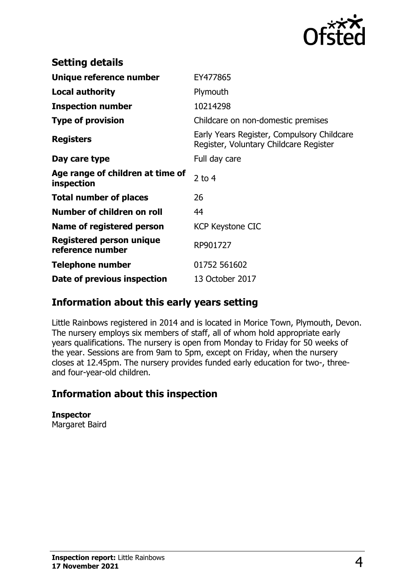

| <b>Setting details</b>                              |                                                                                      |
|-----------------------------------------------------|--------------------------------------------------------------------------------------|
| Unique reference number                             | EY477865                                                                             |
| <b>Local authority</b>                              | Plymouth                                                                             |
| <b>Inspection number</b>                            | 10214298                                                                             |
| <b>Type of provision</b>                            | Childcare on non-domestic premises                                                   |
| <b>Registers</b>                                    | Early Years Register, Compulsory Childcare<br>Register, Voluntary Childcare Register |
| Day care type                                       | Full day care                                                                        |
| Age range of children at time of<br>inspection      | 2 to $4$                                                                             |
| <b>Total number of places</b>                       | 26                                                                                   |
| Number of children on roll                          | 44                                                                                   |
| Name of registered person                           | <b>KCP Keystone CIC</b>                                                              |
| <b>Registered person unique</b><br>reference number | RP901727                                                                             |
| <b>Telephone number</b>                             | 01752 561602                                                                         |
| Date of previous inspection                         | 13 October 2017                                                                      |

## **Information about this early years setting**

Little Rainbows registered in 2014 and is located in Morice Town, Plymouth, Devon. The nursery employs six members of staff, all of whom hold appropriate early years qualifications. The nursery is open from Monday to Friday for 50 weeks of the year. Sessions are from 9am to 5pm, except on Friday, when the nursery closes at 12.45pm. The nursery provides funded early education for two-, threeand four-year-old children.

## **Information about this inspection**

**Inspector** Margaret Baird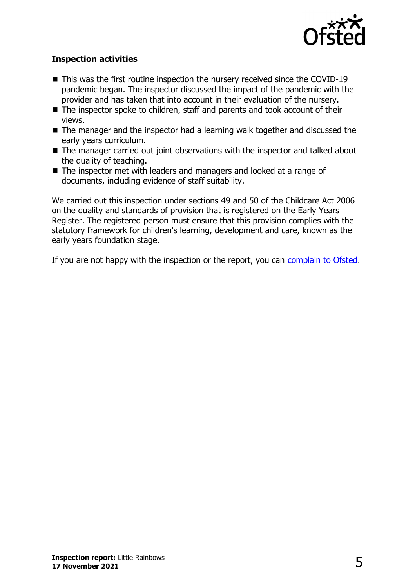

#### **Inspection activities**

- $\blacksquare$  This was the first routine inspection the nursery received since the COVID-19 pandemic began. The inspector discussed the impact of the pandemic with the provider and has taken that into account in their evaluation of the nursery.
- $\blacksquare$  The inspector spoke to children, staff and parents and took account of their views.
- $\blacksquare$  The manager and the inspector had a learning walk together and discussed the early years curriculum.
- $\blacksquare$  The manager carried out joint observations with the inspector and talked about the quality of teaching.
- $\blacksquare$  The inspector met with leaders and managers and looked at a range of documents, including evidence of staff suitability.

We carried out this inspection under sections 49 and 50 of the Childcare Act 2006 on the quality and standards of provision that is registered on the Early Years Register. The registered person must ensure that this provision complies with the statutory framework for children's learning, development and care, known as the early years foundation stage.

If you are not happy with the inspection or the report, you can [complain to Ofsted](http://www.gov.uk/complain-ofsted-report).